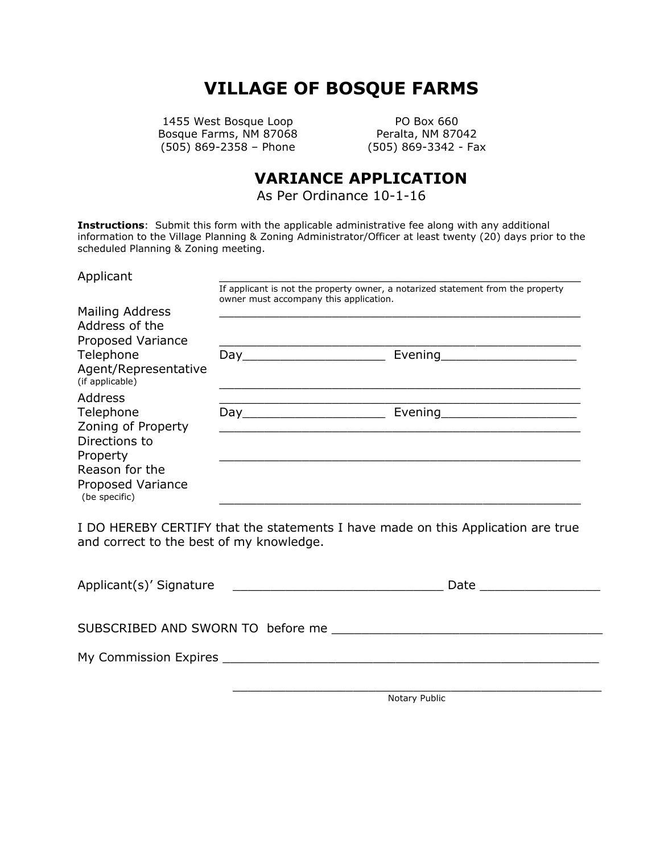# **VILLAGE OF BOSQUE FARMS**

1455 West Bosque Loop PO Box 660 Bosque Farms, NM 87068 Peralta, NM 87042 (505) 869-2358 – Phone (505) 869-3342 - Fax

# **VARIANCE APPLICATION**

As Per Ordinance 10-1-16

**Instructions**: Submit this form with the applicable administrative fee along with any additional information to the Village Planning & Zoning Administrator/Officer at least twenty (20) days prior to the scheduled Planning & Zoning meeting.

| Applicant                               |                                                                                                                           |         |  |
|-----------------------------------------|---------------------------------------------------------------------------------------------------------------------------|---------|--|
|                                         | If applicant is not the property owner, a notarized statement from the property<br>owner must accompany this application. |         |  |
| Mailing Address                         |                                                                                                                           |         |  |
| Address of the                          |                                                                                                                           |         |  |
| Proposed Variance                       |                                                                                                                           |         |  |
| Telephone                               |                                                                                                                           | Evening |  |
| Agent/Representative<br>(if applicable) |                                                                                                                           |         |  |
| Address                                 |                                                                                                                           |         |  |
| Telephone                               | Day                                                                                                                       | Evening |  |
| Zoning of Property                      |                                                                                                                           |         |  |
| Directions to                           |                                                                                                                           |         |  |
| Property                                |                                                                                                                           |         |  |
| Reason for the                          |                                                                                                                           |         |  |
| Proposed Variance<br>(be specific)      |                                                                                                                           |         |  |

I DO HEREBY CERTIFY that the statements I have made on this Application are true and correct to the best of my knowledge.

| Applicant(s)' Signature | Date __________________ |
|-------------------------|-------------------------|
|                         |                         |
|                         |                         |
|                         |                         |

Notary Public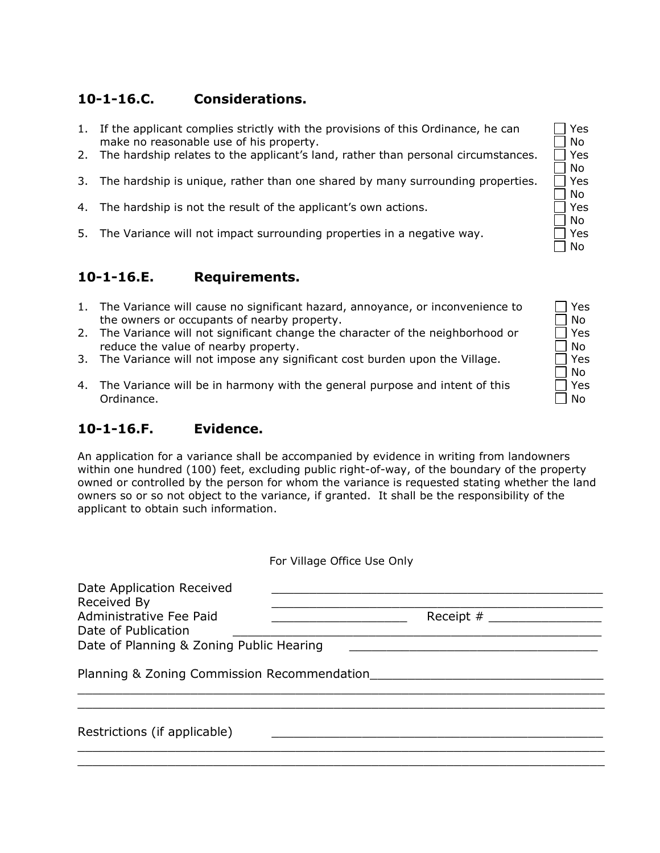## **10-1-16.C. Considerations.**

- 1. If the applicant complies strictly with the provisions of this Ordinance, he can make no reasonable use of his property.
- 2. The hardship relates to the applicant's land, rather than personal circumstances.  $\Box$  Yes
- 3. The hardship is unique, rather than one shared by many surrounding properties.  $\Box$  Yes
- 4. The hardship is not the result of the applicant's own actions.  $\Box$  Yes
- 5. The Variance will not impact surrounding properties in a negative way.  $\Box$  Yes

#### **10-1-16.E. Requirements.**

- 1. The Variance will cause no significant hazard, annoyance, or inconvenience to the owners or occupants of nearby property.
- 2. The Variance will not significant change the character of the neighborhood or reduce the value of nearby property.
- 3. The Variance will not impose any significant cost burden upon the Village.
- 4. The Variance will be in harmony with the general purpose and intent of this Ordinance.

### **10-1-16.F. Evidence.**

An application for a variance shall be accompanied by evidence in writing from landowners within one hundred (100) feet, excluding public right-of-way, of the boundary of the property owned or controlled by the person for whom the variance is requested stating whether the land owners so or so not object to the variance, if granted. It shall be the responsibility of the applicant to obtain such information.

|                                                                                            | For Village Office Use Only |  |  |  |
|--------------------------------------------------------------------------------------------|-----------------------------|--|--|--|
| Date Application Received<br>Received By<br>Administrative Fee Paid<br>Date of Publication | Receipt $#$                 |  |  |  |
| Date of Planning & Zoning Public Hearing                                                   |                             |  |  |  |
| Planning & Zoning Commission Recommendation                                                |                             |  |  |  |
|                                                                                            |                             |  |  |  |
| Restrictions (if applicable)                                                               |                             |  |  |  |
|                                                                                            |                             |  |  |  |

 $\Box$  Yes  $\Box$  No No  $\Box$  No  $\Box$  No  $\Box$  No

| Yes<br>N٥ |
|-----------|
| Yes       |
| N٥<br>Yes |
| N٥<br>Yes |
| N٥        |